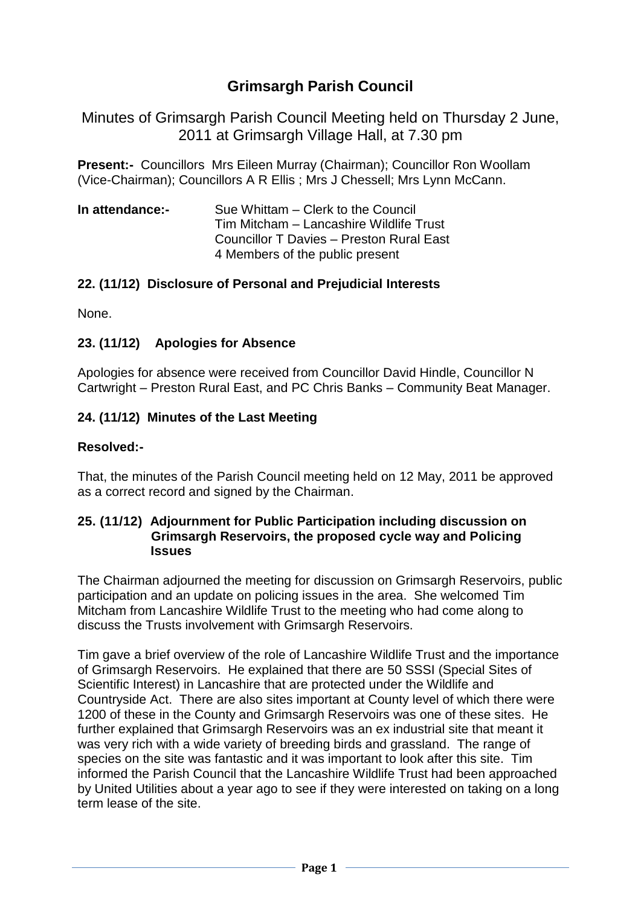# **Grimsargh Parish Council**

Minutes of Grimsargh Parish Council Meeting held on Thursday 2 June, 2011 at Grimsargh Village Hall, at 7.30 pm

**Present:-** Councillors Mrs Eileen Murray (Chairman); Councillor Ron Woollam (Vice-Chairman); Councillors A R Ellis ; Mrs J Chessell; Mrs Lynn McCann.

**In attendance:-** Sue Whittam – Clerk to the Council Tim Mitcham – Lancashire Wildlife Trust Councillor T Davies – Preston Rural East 4 Members of the public present

#### **22. (11/12) Disclosure of Personal and Prejudicial Interests**

None.

#### **23. (11/12) Apologies for Absence**

Apologies for absence were received from Councillor David Hindle, Councillor N Cartwright – Preston Rural East, and PC Chris Banks – Community Beat Manager.

#### **24. (11/12) Minutes of the Last Meeting**

#### **Resolved:-**

That, the minutes of the Parish Council meeting held on 12 May, 2011 be approved as a correct record and signed by the Chairman.

#### **25. (11/12) Adjournment for Public Participation including discussion on Grimsargh Reservoirs, the proposed cycle way and Policing Issues**

The Chairman adjourned the meeting for discussion on Grimsargh Reservoirs, public participation and an update on policing issues in the area. She welcomed Tim Mitcham from Lancashire Wildlife Trust to the meeting who had come along to discuss the Trusts involvement with Grimsargh Reservoirs.

Tim gave a brief overview of the role of Lancashire Wildlife Trust and the importance of Grimsargh Reservoirs. He explained that there are 50 SSSI (Special Sites of Scientific Interest) in Lancashire that are protected under the Wildlife and Countryside Act. There are also sites important at County level of which there were 1200 of these in the County and Grimsargh Reservoirs was one of these sites. He further explained that Grimsargh Reservoirs was an ex industrial site that meant it was very rich with a wide variety of breeding birds and grassland. The range of species on the site was fantastic and it was important to look after this site. Tim informed the Parish Council that the Lancashire Wildlife Trust had been approached by United Utilities about a year ago to see if they were interested on taking on a long term lease of the site.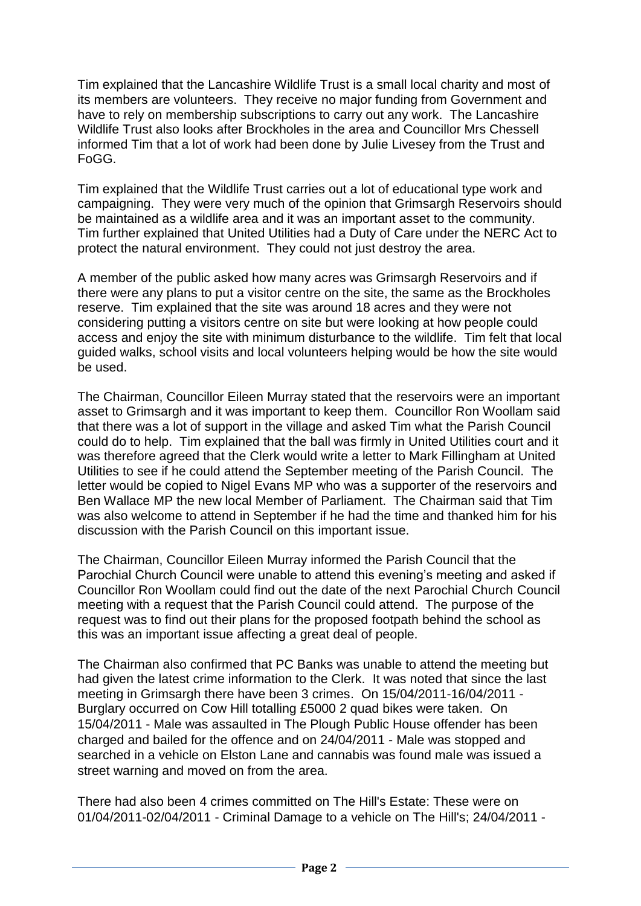Tim explained that the Lancashire Wildlife Trust is a small local charity and most of its members are volunteers. They receive no major funding from Government and have to rely on membership subscriptions to carry out any work. The Lancashire Wildlife Trust also looks after Brockholes in the area and Councillor Mrs Chessell informed Tim that a lot of work had been done by Julie Livesey from the Trust and FoGG.

Tim explained that the Wildlife Trust carries out a lot of educational type work and campaigning. They were very much of the opinion that Grimsargh Reservoirs should be maintained as a wildlife area and it was an important asset to the community. Tim further explained that United Utilities had a Duty of Care under the NERC Act to protect the natural environment. They could not just destroy the area.

A member of the public asked how many acres was Grimsargh Reservoirs and if there were any plans to put a visitor centre on the site, the same as the Brockholes reserve. Tim explained that the site was around 18 acres and they were not considering putting a visitors centre on site but were looking at how people could access and enjoy the site with minimum disturbance to the wildlife. Tim felt that local guided walks, school visits and local volunteers helping would be how the site would be used.

The Chairman, Councillor Eileen Murray stated that the reservoirs were an important asset to Grimsargh and it was important to keep them. Councillor Ron Woollam said that there was a lot of support in the village and asked Tim what the Parish Council could do to help. Tim explained that the ball was firmly in United Utilities court and it was therefore agreed that the Clerk would write a letter to Mark Fillingham at United Utilities to see if he could attend the September meeting of the Parish Council. The letter would be copied to Nigel Evans MP who was a supporter of the reservoirs and Ben Wallace MP the new local Member of Parliament. The Chairman said that Tim was also welcome to attend in September if he had the time and thanked him for his discussion with the Parish Council on this important issue.

The Chairman, Councillor Eileen Murray informed the Parish Council that the Parochial Church Council were unable to attend this evening's meeting and asked if Councillor Ron Woollam could find out the date of the next Parochial Church Council meeting with a request that the Parish Council could attend. The purpose of the request was to find out their plans for the proposed footpath behind the school as this was an important issue affecting a great deal of people.

The Chairman also confirmed that PC Banks was unable to attend the meeting but had given the latest crime information to the Clerk. It was noted that since the last meeting in Grimsargh there have been 3 crimes. On 15/04/2011-16/04/2011 - Burglary occurred on Cow Hill totalling £5000 2 quad bikes were taken. On 15/04/2011 - Male was assaulted in The Plough Public House offender has been charged and bailed for the offence and on 24/04/2011 - Male was stopped and searched in a vehicle on Elston Lane and cannabis was found male was issued a street warning and moved on from the area.

There had also been 4 crimes committed on The Hill's Estate: These were on 01/04/2011-02/04/2011 - Criminal Damage to a vehicle on The Hill's; 24/04/2011 -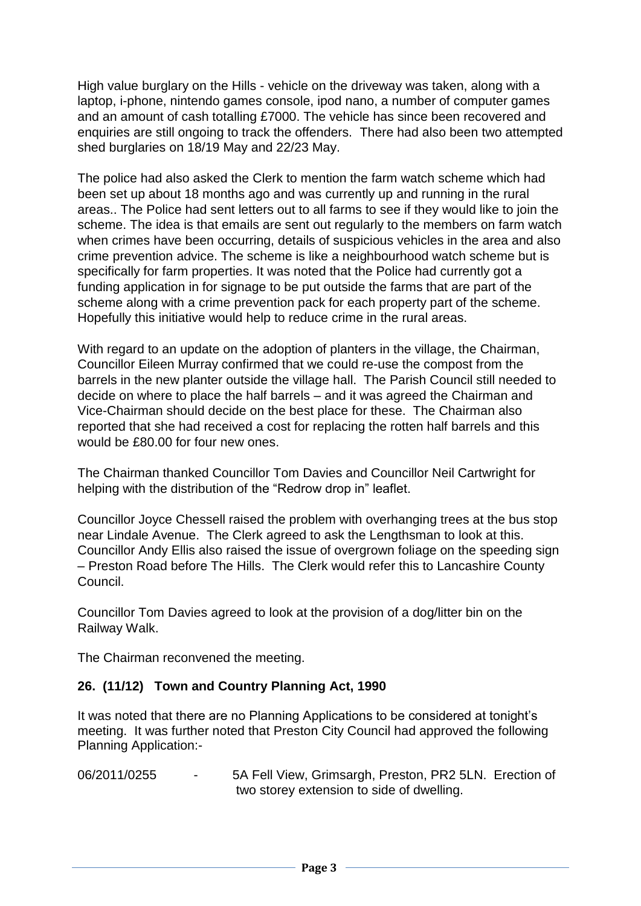High value burglary on the Hills - vehicle on the driveway was taken, along with a laptop, i-phone, nintendo games console, ipod nano, a number of computer games and an amount of cash totalling £7000. The vehicle has since been recovered and enquiries are still ongoing to track the offenders. There had also been two attempted shed burglaries on 18/19 May and 22/23 May.

The police had also asked the Clerk to mention the farm watch scheme which had been set up about 18 months ago and was currently up and running in the rural areas.. The Police had sent letters out to all farms to see if they would like to join the scheme. The idea is that emails are sent out regularly to the members on farm watch when crimes have been occurring, details of suspicious vehicles in the area and also crime prevention advice. The scheme is like a neighbourhood watch scheme but is specifically for farm properties. It was noted that the Police had currently got a funding application in for signage to be put outside the farms that are part of the scheme along with a crime prevention pack for each property part of the scheme. Hopefully this initiative would help to reduce crime in the rural areas.

With regard to an update on the adoption of planters in the village, the Chairman, Councillor Eileen Murray confirmed that we could re-use the compost from the barrels in the new planter outside the village hall. The Parish Council still needed to decide on where to place the half barrels – and it was agreed the Chairman and Vice-Chairman should decide on the best place for these. The Chairman also reported that she had received a cost for replacing the rotten half barrels and this would be £80.00 for four new ones.

The Chairman thanked Councillor Tom Davies and Councillor Neil Cartwright for helping with the distribution of the "Redrow drop in" leaflet.

Councillor Joyce Chessell raised the problem with overhanging trees at the bus stop near Lindale Avenue. The Clerk agreed to ask the Lengthsman to look at this. Councillor Andy Ellis also raised the issue of overgrown foliage on the speeding sign – Preston Road before The Hills. The Clerk would refer this to Lancashire County Council.

Councillor Tom Davies agreed to look at the provision of a dog/litter bin on the Railway Walk.

The Chairman reconvened the meeting.

#### **26. (11/12) Town and Country Planning Act, 1990**

It was noted that there are no Planning Applications to be considered at tonight's meeting. It was further noted that Preston City Council had approved the following Planning Application:-

06/2011/0255 - 5A Fell View, Grimsargh, Preston, PR2 5LN. Erection of two storey extension to side of dwelling.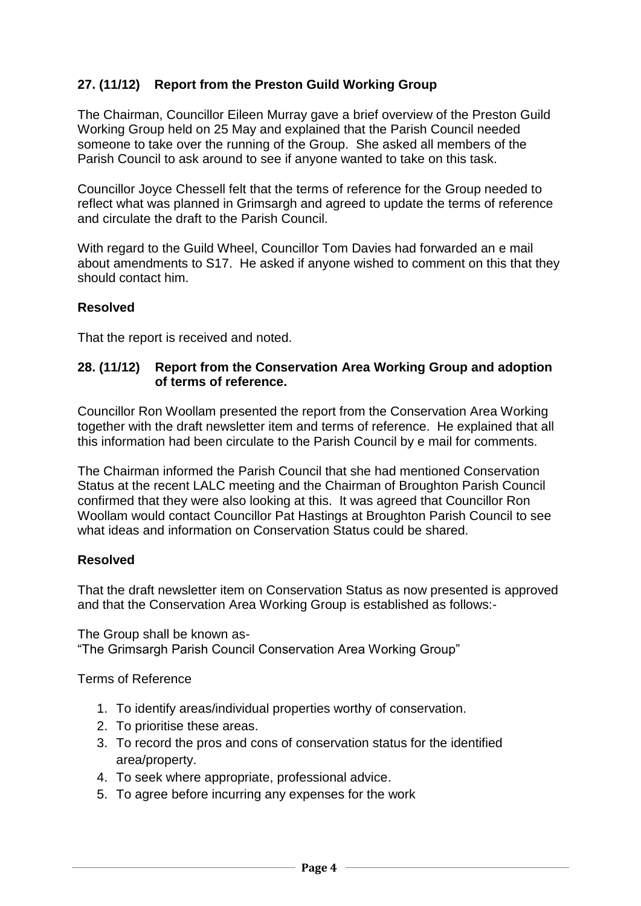# **27. (11/12) Report from the Preston Guild Working Group**

The Chairman, Councillor Eileen Murray gave a brief overview of the Preston Guild Working Group held on 25 May and explained that the Parish Council needed someone to take over the running of the Group. She asked all members of the Parish Council to ask around to see if anyone wanted to take on this task.

Councillor Joyce Chessell felt that the terms of reference for the Group needed to reflect what was planned in Grimsargh and agreed to update the terms of reference and circulate the draft to the Parish Council.

With regard to the Guild Wheel, Councillor Tom Davies had forwarded an e mail about amendments to S17. He asked if anyone wished to comment on this that they should contact him.

# **Resolved**

That the report is received and noted.

#### **28. (11/12) Report from the Conservation Area Working Group and adoption of terms of reference.**

Councillor Ron Woollam presented the report from the Conservation Area Working together with the draft newsletter item and terms of reference. He explained that all this information had been circulate to the Parish Council by e mail for comments.

The Chairman informed the Parish Council that she had mentioned Conservation Status at the recent LALC meeting and the Chairman of Broughton Parish Council confirmed that they were also looking at this. It was agreed that Councillor Ron Woollam would contact Councillor Pat Hastings at Broughton Parish Council to see what ideas and information on Conservation Status could be shared.

# **Resolved**

That the draft newsletter item on Conservation Status as now presented is approved and that the Conservation Area Working Group is established as follows:-

The Group shall be known as- "The Grimsargh Parish Council Conservation Area Working Group"

Terms of Reference

- 1. To identify areas/individual properties worthy of conservation.
- 2. To prioritise these areas.
- 3. To record the pros and cons of conservation status for the identified area/property.
- 4. To seek where appropriate, professional advice.
- 5. To agree before incurring any expenses for the work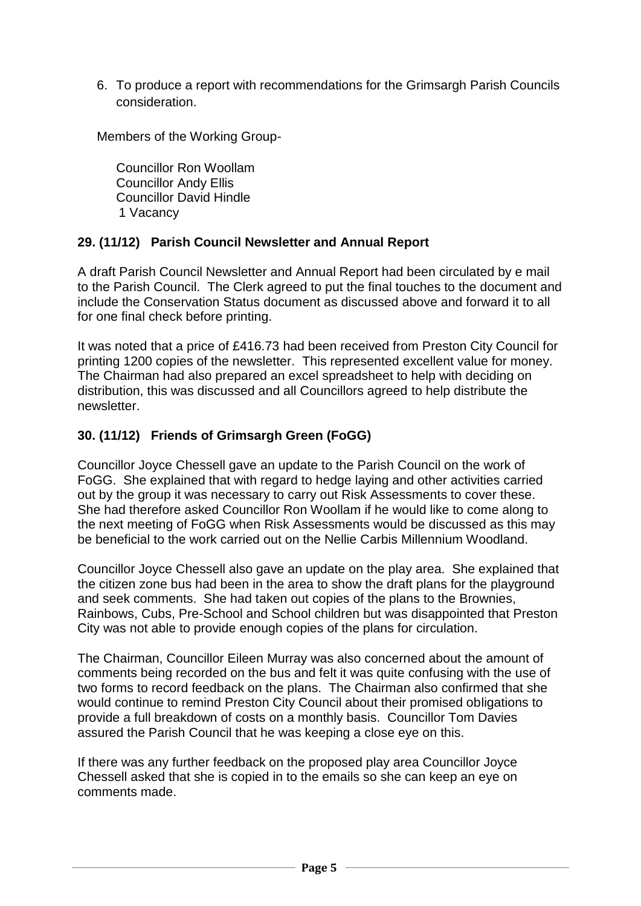6. To produce a report with recommendations for the Grimsargh Parish Councils consideration.

Members of the Working Group-

Councillor Ron Woollam Councillor Andy Ellis Councillor David Hindle 1 Vacancy

#### **29. (11/12) Parish Council Newsletter and Annual Report**

A draft Parish Council Newsletter and Annual Report had been circulated by e mail to the Parish Council. The Clerk agreed to put the final touches to the document and include the Conservation Status document as discussed above and forward it to all for one final check before printing.

It was noted that a price of £416.73 had been received from Preston City Council for printing 1200 copies of the newsletter. This represented excellent value for money. The Chairman had also prepared an excel spreadsheet to help with deciding on distribution, this was discussed and all Councillors agreed to help distribute the newsletter.

# **30. (11/12) Friends of Grimsargh Green (FoGG)**

Councillor Joyce Chessell gave an update to the Parish Council on the work of FoGG. She explained that with regard to hedge laying and other activities carried out by the group it was necessary to carry out Risk Assessments to cover these. She had therefore asked Councillor Ron Woollam if he would like to come along to the next meeting of FoGG when Risk Assessments would be discussed as this may be beneficial to the work carried out on the Nellie Carbis Millennium Woodland.

Councillor Joyce Chessell also gave an update on the play area. She explained that the citizen zone bus had been in the area to show the draft plans for the playground and seek comments. She had taken out copies of the plans to the Brownies, Rainbows, Cubs, Pre-School and School children but was disappointed that Preston City was not able to provide enough copies of the plans for circulation.

The Chairman, Councillor Eileen Murray was also concerned about the amount of comments being recorded on the bus and felt it was quite confusing with the use of two forms to record feedback on the plans. The Chairman also confirmed that she would continue to remind Preston City Council about their promised obligations to provide a full breakdown of costs on a monthly basis. Councillor Tom Davies assured the Parish Council that he was keeping a close eye on this.

If there was any further feedback on the proposed play area Councillor Joyce Chessell asked that she is copied in to the emails so she can keep an eye on comments made.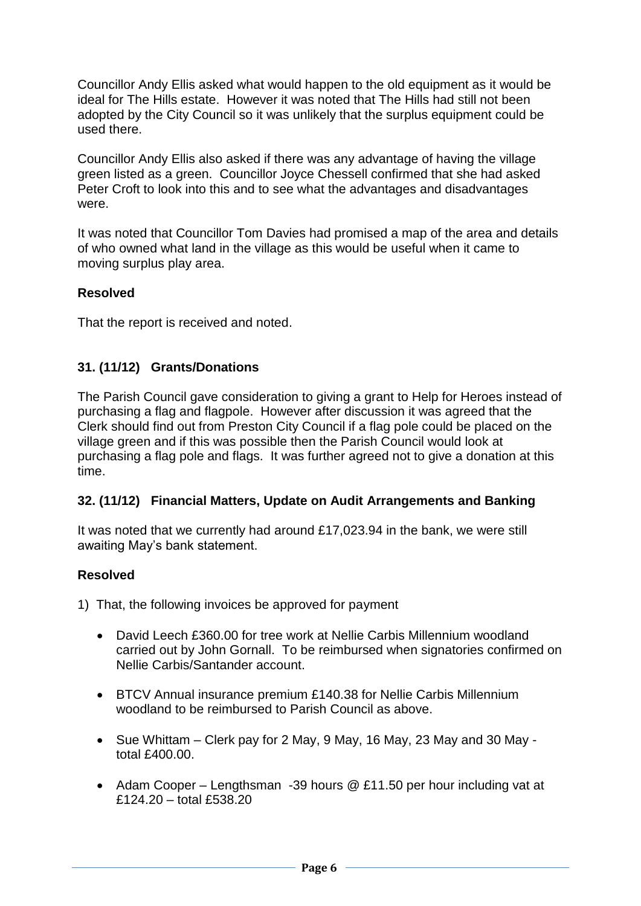Councillor Andy Ellis asked what would happen to the old equipment as it would be ideal for The Hills estate. However it was noted that The Hills had still not been adopted by the City Council so it was unlikely that the surplus equipment could be used there.

Councillor Andy Ellis also asked if there was any advantage of having the village green listed as a green. Councillor Joyce Chessell confirmed that she had asked Peter Croft to look into this and to see what the advantages and disadvantages were.

It was noted that Councillor Tom Davies had promised a map of the area and details of who owned what land in the village as this would be useful when it came to moving surplus play area.

# **Resolved**

That the report is received and noted.

#### **31. (11/12) Grants/Donations**

The Parish Council gave consideration to giving a grant to Help for Heroes instead of purchasing a flag and flagpole. However after discussion it was agreed that the Clerk should find out from Preston City Council if a flag pole could be placed on the village green and if this was possible then the Parish Council would look at purchasing a flag pole and flags. It was further agreed not to give a donation at this time.

#### **32. (11/12) Financial Matters, Update on Audit Arrangements and Banking**

It was noted that we currently had around £17,023.94 in the bank, we were still awaiting May's bank statement.

#### **Resolved**

1) That, the following invoices be approved for payment

- David Leech £360.00 for tree work at Nellie Carbis Millennium woodland carried out by John Gornall. To be reimbursed when signatories confirmed on Nellie Carbis/Santander account.
- BTCV Annual insurance premium £140.38 for Nellie Carbis Millennium woodland to be reimbursed to Parish Council as above.
- Sue Whittam Clerk pay for 2 May, 9 May, 16 May, 23 May and 30 May total £400.00.
- Adam Cooper Lengthsman -39 hours @ £11.50 per hour including vat at £124.20 – total £538.20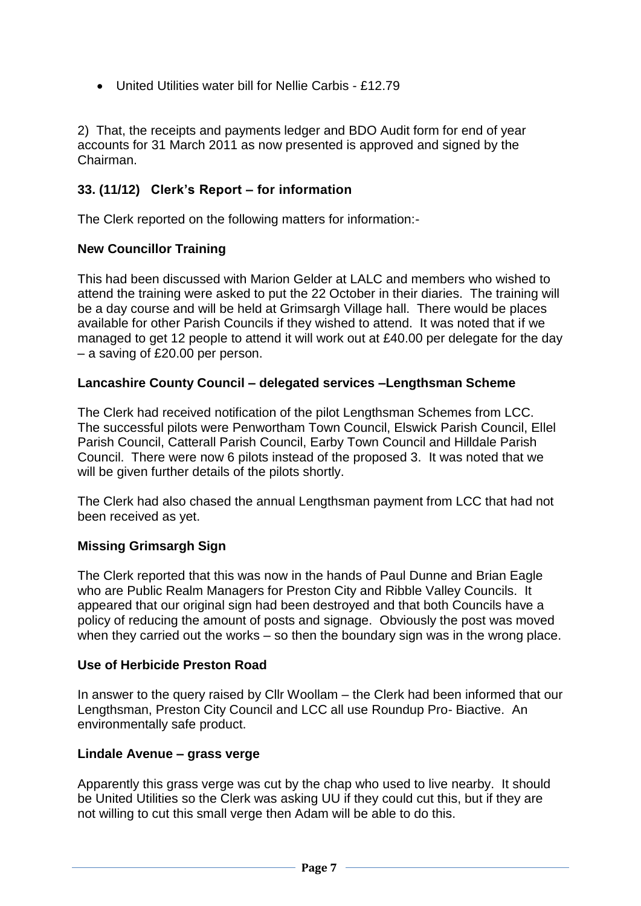United Utilities water bill for Nellie Carbis - £12.79

2) That, the receipts and payments ledger and BDO Audit form for end of year accounts for 31 March 2011 as now presented is approved and signed by the Chairman.

# **33. (11/12) Clerk's Report – for information**

The Clerk reported on the following matters for information:-

#### **New Councillor Training**

This had been discussed with Marion Gelder at LALC and members who wished to attend the training were asked to put the 22 October in their diaries. The training will be a day course and will be held at Grimsargh Village hall. There would be places available for other Parish Councils if they wished to attend. It was noted that if we managed to get 12 people to attend it will work out at £40.00 per delegate for the day – a saving of £20.00 per person.

#### **Lancashire County Council – delegated services –Lengthsman Scheme**

The Clerk had received notification of the pilot Lengthsman Schemes from LCC. The successful pilots were Penwortham Town Council, Elswick Parish Council, Ellel Parish Council, Catterall Parish Council, Earby Town Council and Hilldale Parish Council. There were now 6 pilots instead of the proposed 3. It was noted that we will be given further details of the pilots shortly.

The Clerk had also chased the annual Lengthsman payment from LCC that had not been received as yet.

# **Missing Grimsargh Sign**

The Clerk reported that this was now in the hands of Paul Dunne and Brian Eagle who are Public Realm Managers for Preston City and Ribble Valley Councils. It appeared that our original sign had been destroyed and that both Councils have a policy of reducing the amount of posts and signage. Obviously the post was moved when they carried out the works – so then the boundary sign was in the wrong place.

#### **Use of Herbicide Preston Road**

In answer to the query raised by Cllr Woollam – the Clerk had been informed that our Lengthsman, Preston City Council and LCC all use Roundup Pro- Biactive. An environmentally safe product.

#### **Lindale Avenue – grass verge**

Apparently this grass verge was cut by the chap who used to live nearby. It should be United Utilities so the Clerk was asking UU if they could cut this, but if they are not willing to cut this small verge then Adam will be able to do this.